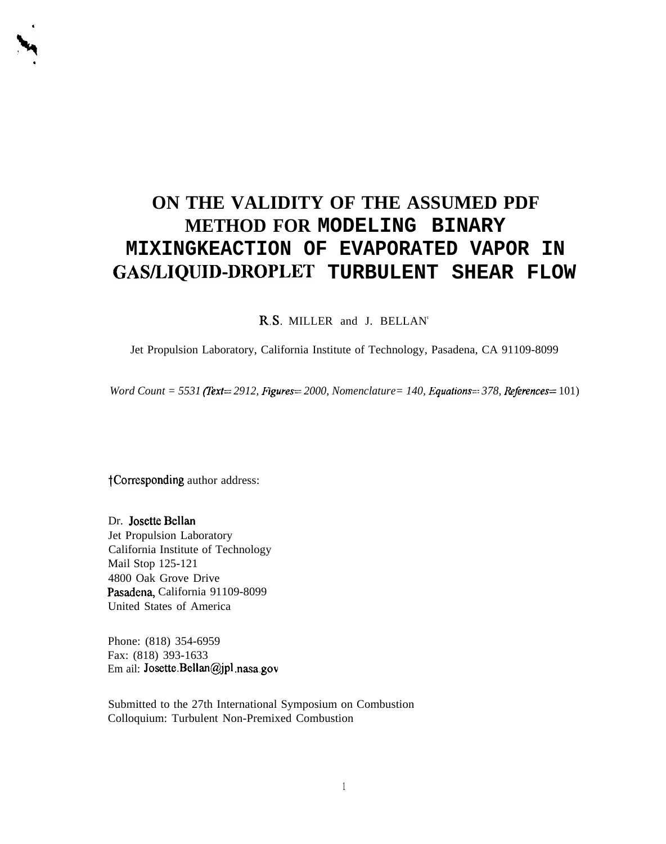# **ON THE VALIDITY OF THE ASSUMED PDF METHOD FOR MODELING BINARY MIXINGKEACTION OF EVAPORATED VAPOR IN GAWLIQUID-DROPLET TURBULENT SHEAR FLOW**

R.S. MILLER and J. BELLAN<sup>t</sup>

Jet Propulsion Laboratory, California Institute of Technology, Pasadena, CA 91109-8099

*Word Count = 5531 (Text= 2912, Figures= 2000, Nomenclature= 140, Equations=* $378$ *, References=* 101)

tCorresponding author address:

.

**h.**

Dr. Josette Bellan Jet Propulsion Laboratory California Institute of Technology Mail Stop 125-121 4800 Oak Grove Drive Pasadena, California 91109-8099 United States of America

Phone: (818) 354-6959 Fax: (818) 393-1633 Em ail: Josette.Bellan@jpl .nasa,gov

Submitted to the 27th International Symposium on Combustion Colloquium: Turbulent Non-Premixed Combustion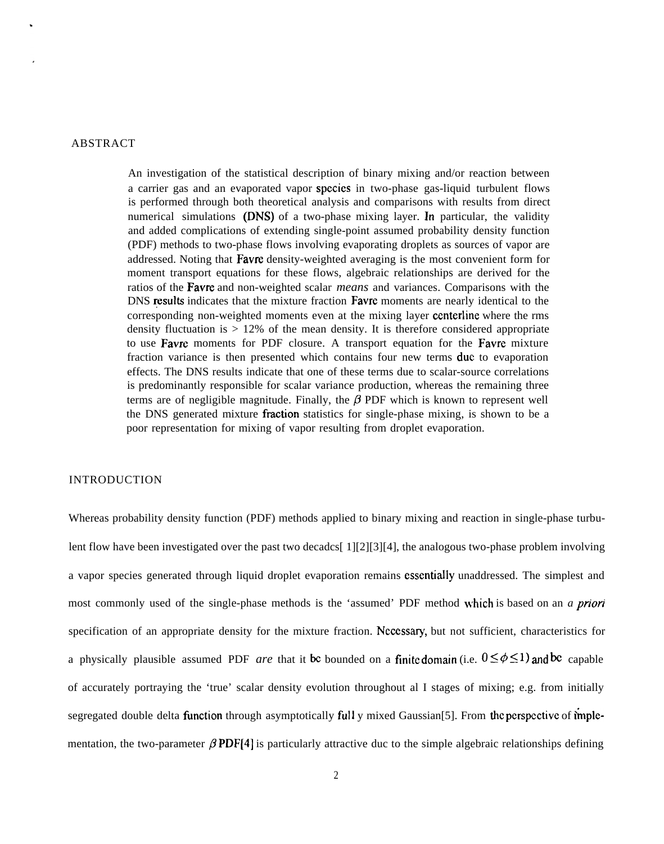## ABSTRACT

An investigation of the statistical description of binary mixing and/or reaction between a carrier gas and an evaporated vapor spccics in two-phase gas-liquid turbulent flows is performed through both theoretical analysis and comparisons with results from direct numerical simulations (DNS) of a two-phase mixing layer. In particular, the validity and added complications of extending single-point assumed probability density function (PDF) methods to two-phase flows involving evaporating droplets as sources of vapor are addressed. Noting that Favre density-weighted averaging is the most convenient form for moment transport equations for these flows, algebraic relationships are derived for the ratios of the Favre and non-weighted scalar *means* and variances. Comparisons with the DNS results indicates that the mixture fraction Favre moments are nearly identical to the corresponding non-weighted moments even at the mixing layer centerline where the rms density fluctuation is  $> 12\%$  of the mean density. It is therefore considered appropriate to use Favre moments for PDF closure. A transport equation for the Favre mixture fraction variance is then presented which contains four new terms due to evaporation effects. The DNS results indicate that one of these terms due to scalar-source correlations is predominantly responsible for scalar variance production, whereas the remaining three terms are of negligible magnitude. Finally, the  $\beta$  PDF which is known to represent well the DNS generated mixture fraction statistics for single-phase mixing, is shown to be a poor representation for mixing of vapor resulting from droplet evaporation.

## INTRODUCTION

Whereas probability density function (PDF) methods applied to binary mixing and reaction in single-phase turbulent flow have been investigated over the past two decadcs[ 1][2][3][4], the analogous two-phase problem involving a vapor species generated through liquid droplet evaporation remains csscntialiy unaddressed. The simplest and most commonly used of the single-phase methods is the 'assumed' PDF method \vhich is based on an *a priori* specification of an appropriate density for the mixture fraction. Ncccssary, but not sufficient, characteristics for a physically plausible assumed PDF *are* that it be bounded on a finite domain (i.e.  $0 \le \phi \le 1$ ) and be capable of accurately portraying the 'true' scalar density evolution throughout al I stages of mixing; e.g. from initially segregated double delta function through asymptotically full y mixed Gaussian[5]. From the perspective of implementation, the two-parameter  $\beta$  PDF[4] is particularly attractive duc to the simple algebraic relationships defining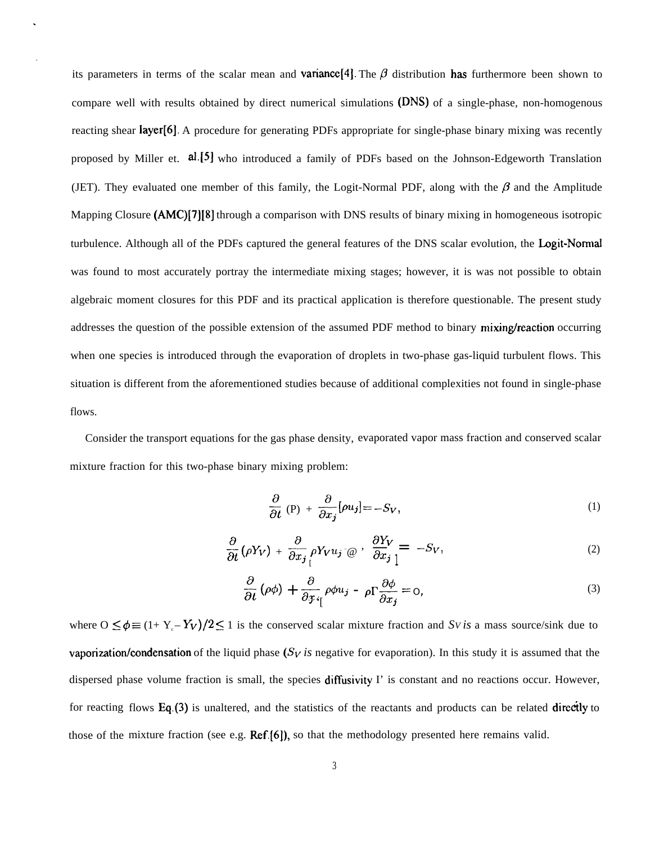its parameters in terms of the scalar mean and **variance**[4]. The  $\beta$  distribution has furthermore been shown to compare well with results obtained by direct numerical simulations (DNS) of a single-phase, non-homogenous reacting shear layer[6]. A procedure for generating PDFs appropriate for single-phase binary mixing was recently proposed by Miller et. al.[5] who introduced a family of PDFs based on the Johnson-Edgeworth Translation (JET). They evaluated one member of this family, the Logit-Normal PDF, along with the  $\beta$  and the Amplitude Mapping Closure (AMC)[7][8] through a comparison with DNS results of binary mixing in homogeneous isotropic turbulence. Although all of the PDFs captured the general features of the DNS scalar evolution, the Logit-Normal was found to most accurately portray the intermediate mixing stages; however, it is was not possible to obtain algebraic moment closures for this PDF and its practical application is therefore questionable. The present study addresses the question of the possible extension of the assumed PDF method to binary mixing/reaction occurring when one species is introduced through the evaporation of droplets in two-phase gas-liquid turbulent flows. This situation is different from the aforementioned studies because of additional complexities not found in single-phase flows.

Consider the transport equations for the gas phase density, evaporated vapor mass fraction and conserved scalar mixture fraction for this two-phase binary mixing problem:

$$
\frac{\partial}{\partial t} \left( P \right) + \frac{\partial}{\partial x_j} [\rho u_j] = -S_V, \tag{1}
$$

$$
\frac{\partial}{\partial t} \left( \rho Y_V \right) + \frac{\partial}{\partial x_j} \rho Y_V u_j \cdot \varpi \,, \quad \frac{\partial Y_V}{\partial x_j} = -S_V, \tag{2}
$$

$$
\frac{\partial}{\partial t} \left( \rho \phi \right) + \frac{\partial}{\partial x_i} \rho \phi u_j - \rho \Gamma \frac{\partial \phi}{\partial x_j} = 0, \tag{3}
$$

where  $0 \le \phi \equiv (1 + Y_c - Y_V)/2 \le 1$  is the conserved scalar mixture fraction and *Sv is* a mass source/sink due to vaporization/condensation of the liquid phase  $(S_V)$  is negative for evaporation). In this study it is assumed that the dispersed phase volume fraction is small, the species diffusivity I' is constant and no reactions occur. However, for reacting flows Eq.(3) is unaltered, and the statistics of the reactants and products can be related directly to those of the mixture fraction (see e.g. Ref.[6]), so that the methodology presented here remains valid.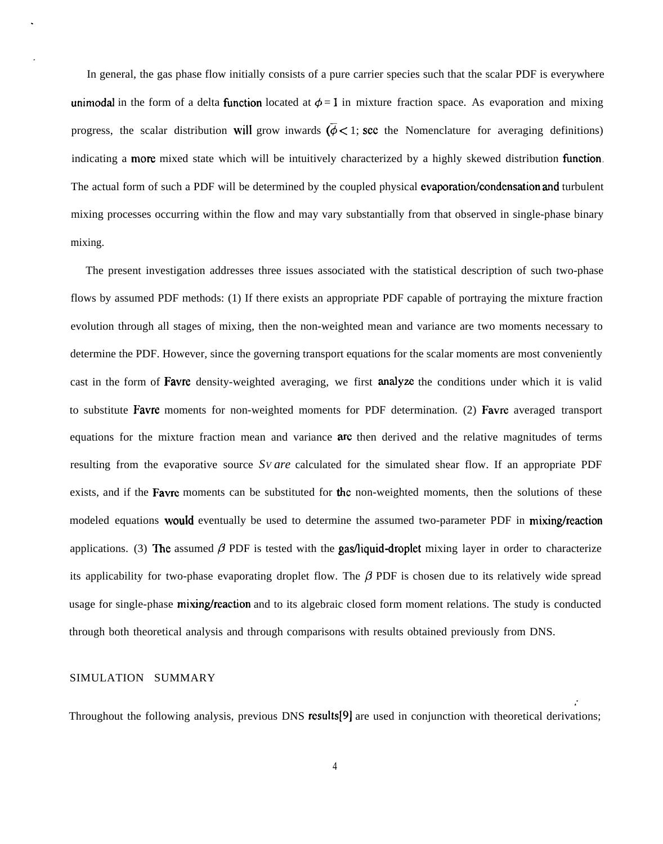In general, the gas phase flow initially consists of a pure carrier species such that the scalar PDF is everywhere unimodal in the form of a delta function located at  $\phi = 1$  in mixture fraction space. As evaporation and mixing progress, the scalar distribution will grow inwards  $(\bar{\phi} < 1)$ ; see the Nomenclature for averaging definitions) indicating a more mixed state which will be intuitively characterized by a highly skewed distribution function. The actual form of such a PDF will be determined by the coupled physical evaporation/condensation and turbulent mixing processes occurring within the flow and may vary substantially from that observed in single-phase binary mixing.

The present investigation addresses three issues associated with the statistical description of such two-phase flows by assumed PDF methods: (1) If there exists an appropriate PDF capable of portraying the mixture fraction evolution through all stages of mixing, then the non-weighted mean and variance are two moments necessary to determine the PDF. However, since the governing transport equations for the scalar moments are most conveniently cast in the form of **Favre** density-weighted averaging, we first **analyze** the conditions under which it is valid to substitute Favre moments for non-weighted moments for PDF determination. (2) Favre averaged transport equations for the mixture fraction mean and variance arc then derived and the relative magnitudes of terms resulting from the evaporative source *SV are* calculated for the simulated shear flow. If an appropriate PDF exists, and if the **Favre** moments can be substituted for the non-weighted moments, then the solutions of these modeled equations would eventually be used to determine the assumed two-parameter PDF in mixing/reaction applications. (3) The assumed  $\beta$  PDF is tested with the gas/liquid-droplet mixing layer in order to characterize its applicability for two-phase evaporating droplet flow. The  $\beta$  PDF is chosen due to its relatively wide spread usage for single-phase mixing/reaction and to its algebraic closed form moment relations. The study is conducted through both theoretical analysis and through comparisons with results obtained previously from DNS.

## SIMULATION SUMMARY

Throughout the following analysis, previous DNS results[9] are used in conjunction with theoretical derivations;

*,'*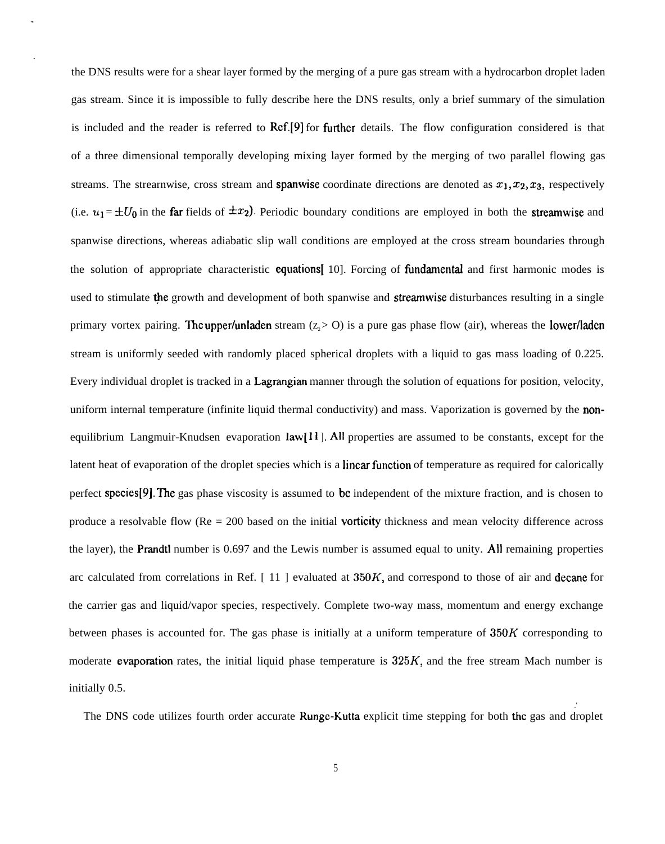the DNS results were for a shear layer formed by the merging of a pure gas stream with a hydrocarbon droplet laden gas stream. Since it is impossible to fully describe here the DNS results, only a brief summary of the simulation is included and the reader is referred to  $\text{Ref.}[9]$  for further details. The flow configuration considered is that of a three dimensional temporally developing mixing layer formed by the merging of two parallel flowing gas streams. The strearnwise, cross stream and **spanwise** coordinate directions are denoted as  $x_1, x_2, x_3$ , respectively (i.e.  $u_1 = \pm U_0$  in the far fields of  $\pm x_2$ ). Periodic boundary conditions are employed in both the streamwise and spanwise directions, whereas adiabatic slip wall conditions are employed at the cross stream boundaries through the solution of appropriate characteristic **equations** [10]. Forcing of **fundamental** and first harmonic modes is used to stimulate the growth and development of both spanwise and streamwise disturbances resulting in a single primary vortex pairing. The upper/unladen stream  $(z > 0)$  is a pure gas phase flow (air), whereas the lower/laden stream is uniformly seeded with randomly placed spherical droplets with a liquid to gas mass loading of 0.225. Every individual droplet is tracked in a Lagrangian manner through the solution of equations for position, velocity, uniform internal temperature (infinite liquid thermal conductivity) and mass. Vaporization is governed by the nonequilibrium Langmuir-Knudsen evaporation  $law[11]$ . All properties are assumed to be constants, except for the latent heat of evaporation of the droplet species which is a linear fimction of temperature as required for calorically perfect species[9]. The gas phase viscosity is assumed to be independent of the mixture fraction, and is chosen to produce a resolvable flow ( $Re = 200$  based on the initial **vorticity** thickness and mean velocity difference across the layer), the **Prandtl** number is  $0.697$  and the Lewis number is assumed equal to unity. All remaining properties arc calculated from correlations in Ref.  $[11]$  evaluated at  $350K$ , and correspond to those of air and decane for the carrier gas and liquid/vapor species, respectively. Complete two-way mass, momentum and energy exchange between phases is accounted for. The gas phase is initially at a uniform temperature of  $350K$  corresponding to moderate evaporation rates, the initial liquid phase temperature is  $325K$ , and the free stream Mach number is initially 0.5.

The DNS code utilizes fourth order accurate Rungc-Kutta explicit time stepping for both the gas and droplet

*.'*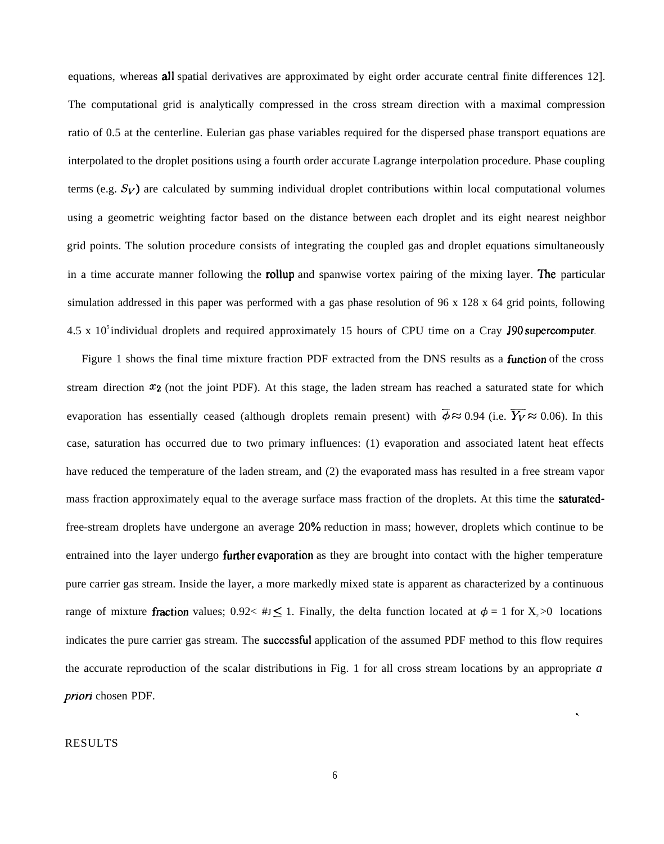equations, whereas **all** spatial derivatives are approximated by eight order accurate central finite differences 12]. The computational grid is analytically compressed in the cross stream direction with a maximal compression ratio of 0.5 at the centerline. Eulerian gas phase variables required for the dispersed phase transport equations are interpolated to the droplet positions using a fourth order accurate Lagrange interpolation procedure. Phase coupling terms (e.g.  $S_V$ ) are calculated by summing individual droplet contributions within local computational volumes using a geometric weighting factor based on the distance between each droplet and its eight nearest neighbor grid points. The solution procedure consists of integrating the coupled gas and droplet equations simultaneously in a time accurate manner following the **rollup** and spanwise vortex pairing of the mixing layer. The particular simulation addressed in this paper was performed with a gas phase resolution of 96 x 128 x 64 grid points, following  $4.5 \times 10^5$  individual droplets and required approximately 15 hours of CPU time on a Cray J90 supercomputer.

Figure 1 shows the final time mixture fraction PDF extracted from the DNS results as a **function** of the cross stream direction  $x_2$  (not the joint PDF). At this stage, the laden stream has reached a saturated state for which evaporation has essentially ceased (although droplets remain present) with  $\phi \approx 0.94$  (i.e.  $\overline{Y_V} \approx 0.06$ ). In this case, saturation has occurred due to two primary influences: (1) evaporation and associated latent heat effects have reduced the temperature of the laden stream, and (2) the evaporated mass has resulted in a free stream vapor mass fraction approximately equal to the average surface mass fraction of the droplets. At this time the saturatedfree-stream droplets have undergone an average 20% reduction in mass; however, droplets which continue to be entrained into the layer undergo **further evaporation** as they are brought into contact with the higher temperature pure carrier gas stream. Inside the layer, a more markedly mixed state is apparent as characterized by a continuous range of mixture fraction values;  $0.92 < \# J \leq 1$ . Finally, the delta function located at  $\phi = 1$  for X, >0 locations indicates the pure carrier gas stream. The **successful** application of the assumed PDF method to this flow requires the accurate reproduction of the scalar distributions in Fig. 1 for all cross stream locations by an appropriate *a priori* chosen PDF.

## **RESULTS**

.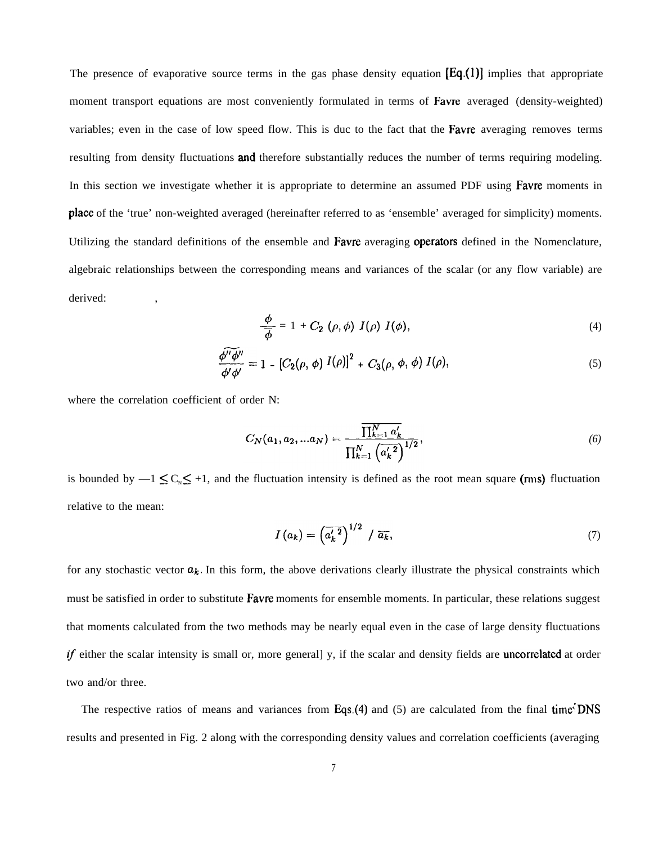The presence of evaporative source terms in the gas phase density equation  $[Eq_1(1)]$  implies that appropriate moment transport equations are most conveniently formulated in terms of Favre averaged (density-weighted) variables; even in the case of low speed flow. This is duc to the fact that the Favre averaging removes terms resulting from density fluctuations and therefore substantially reduces the number of terms requiring modeling. In this section we investigate whether it is appropriate to determine an assumed PDF using **Favre** moments in place of the 'true' non-weighted averaged (hereinafter referred to as 'ensemble' averaged for simplicity) moments. Utilizing the standard definitions of the ensemble and Favre averaging operators defined in the Nomenclature, algebraic relationships between the corresponding means and variances of the scalar (or any flow variable) are derived:

$$
\frac{\phi}{\overline{\phi}} = 1 + C_2 \; (\rho, \phi) \; I(\rho) \; I(\phi), \tag{4}
$$

$$
\frac{\widehat{\phi''\phi''}}{\phi'\phi'}=1-\left[C_2(\rho,\,\phi)\,I(\rho)\right]^2+\,C_3(\rho,\,\phi,\,\phi)\,I(\rho),\tag{5}
$$

where the correlation coefficient of order N:

$$
C_N(a_1, a_2, ... a_N) = \frac{\prod_{k=1}^N a'_k}{\prod_{k=1}^N \left(a'_k \right)^{1/2}},\tag{6}
$$

is bounded by  $-1 \leq C_N \leq +1$ , and the fluctuation intensity is defined as the root mean square (rms) fluctuation relative to the mean:

$$
I\left(a_{k}\right) = \left(\overline{a'_{k}}^{2}\right)^{1/2} / \overline{a_{k}},\tag{7}
$$

for any stochastic vector  $a_k$ . In this form, the above derivations clearly illustrate the physical constraints which must be satisfied in order to substitute **Favre** moments for ensemble moments. In particular, these relations suggest that moments calculated from the two methods may be nearly equal even in the case of large density fluctuations  $if$  either the scalar intensity is small or, more general] y, if the scalar and density fields are uncorrelated at order two and/or three.

The respective ratios of means and variances from Eqs.(4) and (5) are calculated from the final time DNS results and presented in Fig. 2 along with the corresponding density values and correlation coefficients (averaging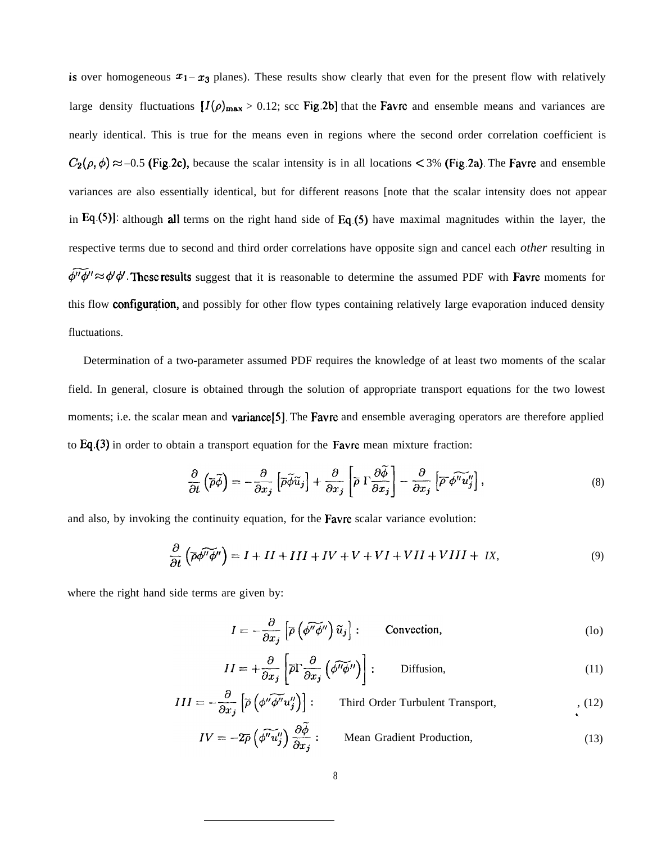is over homogeneous  $x_1 - x_3$  planes). These results show clearly that even for the present flow with relatively large density fluctuations  $[I(\rho)_{max} > 0.12]$ ; scc Fig.2b] that the Favre and ensemble means and variances are nearly identical. This is true for the means even in regions where the second order correlation coefficient is  $C_2(\rho, \phi) \approx -0.5$  (Fig.2c), because the scalar intensity is in all locations < 3% (Fig.2a). The Favre and ensemble variances are also essentially identical, but for different reasons [note that the scalar intensity does not appear in *Eq.(5)]:* although all terms on the right hand side of Eq.(5) have maximal magnitudes within the layer, the respective terms due to second and third order correlations have opposite sign and cancel each *other* resulting in  $\widetilde{\phi''\phi''} \approx \phi'\phi'$ . These results suggest that it is reasonable to determine the assumed PDF with Favre moments for this flow configuration, and possibly for other flow types containing relatively large evaporation induced density fluctuations.

Determination of a two-parameter assumed PDF requires the knowledge of at least two moments of the scalar field. In general, closure is obtained through the solution of appropriate transport equations for the two lowest moments; i.e. the scalar mean and **variance**[5]. The **Favre** and ensemble averaging operators are therefore applied to Eq.(3) in order to obtain a transport equation for the Favre mean mixture fraction:

$$
\frac{\partial}{\partial t} \left( \overline{\rho} \widetilde{\phi} \right) = -\frac{\partial}{\partial x_j} \left[ \overline{\rho} \widetilde{\phi} \widetilde{u}_j \right] + \frac{\partial}{\partial x_j} \left[ \overline{\rho} \Gamma \frac{\partial \widetilde{\phi}}{\partial x_j} \right] - \frac{\partial}{\partial x_j} \left[ \overline{\rho} \widetilde{\phi'' u''_j} \right],\tag{8}
$$

and also, by invoking the continuity equation, for the Favre scalar variance evolution:

$$
\frac{\partial}{\partial t} \left( \overline{\rho} \phi^T \overline{\phi}^T \right) = I + II + III + IV + V + VI + VII + VIII + IX,
$$
\n(9)

where the right hand side terms are given by:

$$
I = -\frac{\partial}{\partial x_j} \left[ \overline{\rho} \left( \widetilde{\phi'' \phi''} \right) \widetilde{u}_j \right] : \qquad \text{Convection}, \tag{10}
$$

$$
II = +\frac{\partial}{\partial x_j} \left[ \overline{\rho} \Gamma \frac{\partial}{\partial x_j} \left( \overline{\phi'' \phi''} \right) \right] : \qquad \text{Diffusion}, \tag{11}
$$

$$
III = -\frac{\partial}{\partial x_j} \left[ \overline{\rho} \left( \phi'' \widetilde{\phi''} u''_j \right) \right] : \qquad \text{Third Order Turbulent Transport,} \qquad (12)
$$

$$
IV = -2\bar{\rho} \left( \widetilde{\phi''u''_j} \right) \frac{\partial \widetilde{\phi}}{\partial x_j} : \qquad \text{Mean Gradient Production}, \tag{13}
$$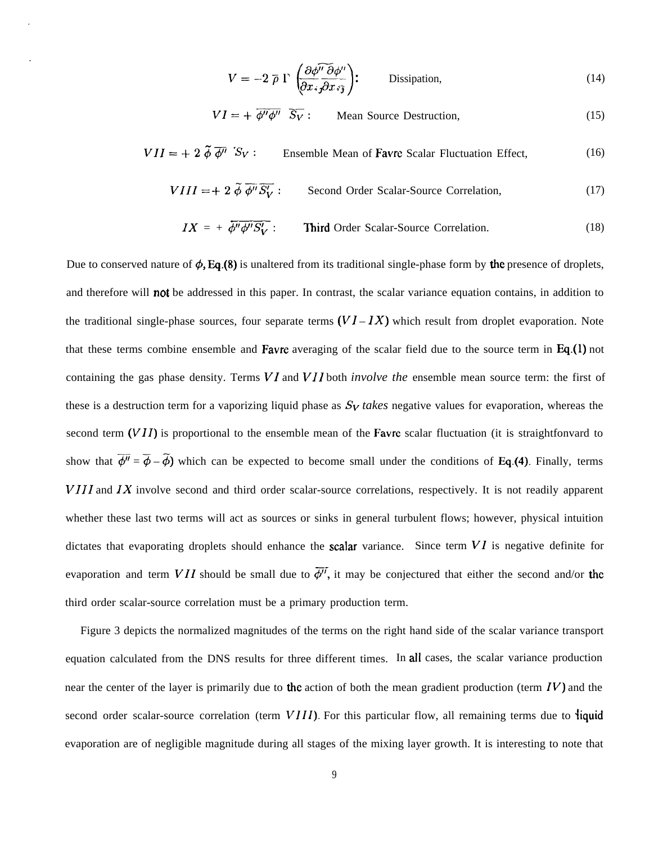$$
V = -2 \bar{\rho} \Gamma \left( \frac{\partial \phi^{\prime \prime} \bar{\partial} \phi^{\prime \prime}}{\partial x_i \bar{\partial} x_i \bar{\partial} x_i} \right); \qquad \text{Dissipation,}
$$
\n(14)

$$
VI = + \overline{\phi''\phi''} \quad \overline{S_V} : \qquad \text{Mean Source Destruction,} \tag{15}
$$

$$
VII = + 2 \tilde{\phi} \overline{\phi''} S_V : \qquad \text{Ensemble Mean of \textbf{F}avre Scalar Fluctuation Effect,} \tag{16}
$$

$$
VIII = + 2 \tilde{\phi} \overline{\phi''} \overline{S'_V} : \qquad \text{Second Order Scalar-Source Correlation}, \tag{17}
$$

$$
IX = + \overline{\phi'' \phi'' S_V'}:
$$
 Third Order Scalar-Source Correlation. (18)

Due to conserved nature of  $\phi$ , Eq.(8) is unaltered from its traditional single-phase form by the presence of droplets, and therefore will **not** be addressed in this paper. In contrast, the scalar variance equation contains, in addition to the traditional single-phase sources, four separate terms  $(VI - IX)$  which result from droplet evaporation. Note that these terms combine ensemble and **Favre** averaging of the scalar field due to the source term in  $Eq.(1)$  not containing the gas phase density. Terms *VI* and *VI]* both *involve the* ensemble mean source term: the first of these is a destruction term for a vaporizing liquid phase as  $S_V$  takes negative values for evaporation, whereas the second term (VII) is proportional to the ensemble mean of the Favre scalar fluctuation (it is straightfonvard to show that  $\overline{\phi''} = \overline{\phi} - \widetilde{\phi}$  which can be expected to become small under the conditions of Eq.(4). Finally, terms *VIII* and *IX* involve second and third order scalar-source correlations, respectively. It is not readily apparent whether these last two terms will act as sources or sinks in general turbulent flows; however, physical intuition dictates that evaporating droplets should enhance the scalar variance. Since term *Vl* is negative definite for evaporation and term *VII* should be small due to  $\overline{\phi''}$ , it may be conjectured that either the second and/or the third order scalar-source correlation must be a primary production term.

Figure 3 depicts the normalized magnitudes of the terms on the right hand side of the scalar variance transport equation calculated from the DNS results for three different times. In all cases, the scalar variance production near the center of the layer is primarily due to the action of both the mean gradient production (term *IV)* and the second order scalar-source correlation (term  $VIII$ ). For this particular flow, all remaining terms due to **liquid** evaporation are of negligible magnitude during all stages of the mixing layer growth. It is interesting to note that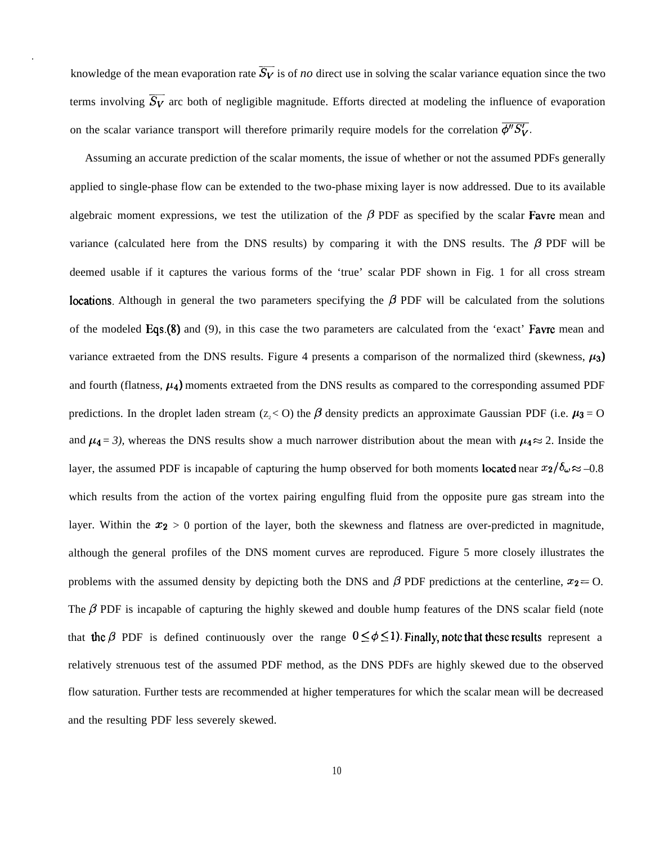knowledge of the mean evaporation rate  $\overline{S_V}$  is of *no* direct use in solving the scalar variance equation since the two terms involving  $\overline{S_V}$  arc both of negligible magnitude. Efforts directed at modeling the influence of evaporation on the scalar variance transport will therefore primarily require models for the correlation  $\overline{\phi''S_V'}$ .

Assuming an accurate prediction of the scalar moments, the issue of whether or not the assumed PDFs generally applied to single-phase flow can be extended to the two-phase mixing layer is now addressed. Due to its available algebraic moment expressions, we test the utilization of the  $\beta$  PDF as specified by the scalar **Favre** mean and variance (calculated here from the DNS results) by comparing it with the DNS results. The  $\beta$  PDF will be deemed usable if it captures the various forms of the 'true' scalar PDF shown in Fig. 1 for all cross stream **Iocations.** Although in general the two parameters specifying the  $\beta$  PDF will be calculated from the solutions of the modeled Eqs.(8) and (9), in this case the two parameters are calculated from the 'exact' Favre mean and variance extraeted from the DNS results. Figure 4 presents a comparison of the normalized third (skewness,  $\mu_3$ ) and fourth (flatness,  $\mu_4$ ) moments extraeted from the DNS results as compared to the corresponding assumed PDF predictions. In the droplet laden stream (z, < 0) the  $\beta$  density predicts an approximate Gaussian PDF (i.e.  $\mu_3 = 0$ and  $\mu_4 = 3$ ), whereas the DNS results show a much narrower distribution about the mean with  $\mu_4 \approx 2$ . Inside the layer, the assumed PDF is incapable of capturing the hump observed for both moments located near  $x_2/\delta_\omega \approx -0.8$ which results from the action of the vortex pairing engulfing fluid from the opposite pure gas stream into the layer. Within the  $x_2 > 0$  portion of the layer, both the skewness and flatness are over-predicted in magnitude, although the general profiles of the DNS moment curves are reproduced. Figure 5 more closely illustrates the problems with the assumed density by depicting both the DNS and  $\beta$  PDF predictions at the centerline,  $x_2 = 0$ . The  $\beta$  PDF is incapable of capturing the highly skewed and double hump features of the DNS scalar field (note that the  $\beta$  PDF is defined continuously over the range  $0 \le \phi \le 1$ ). Finally, note that these results represent a relatively strenuous test of the assumed PDF method, as the DNS PDFs are highly skewed due to the observed flow saturation. Further tests are recommended at higher temperatures for which the scalar mean will be decreased and the resulting PDF less severely skewed.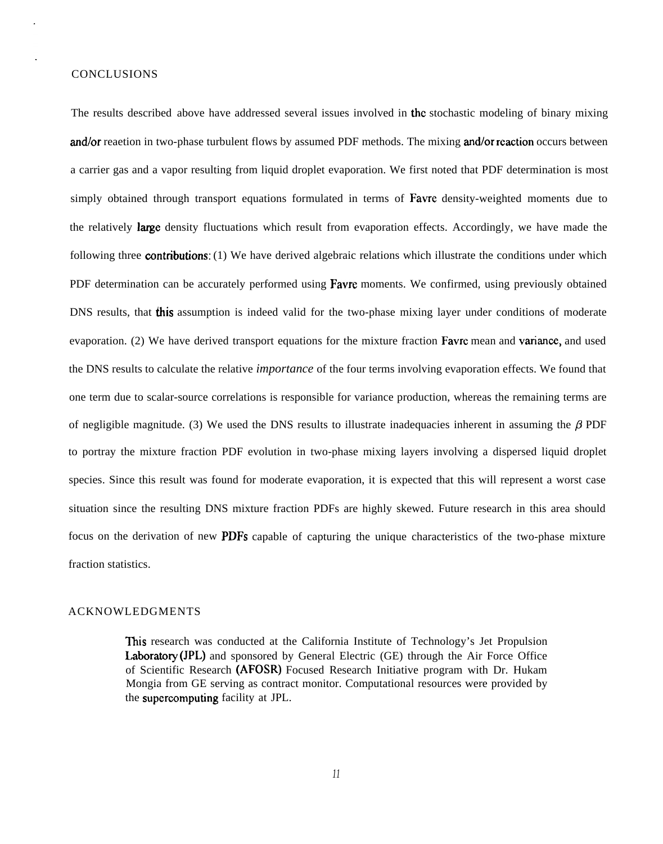## **CONCLUSIONS**

The results described above have addressed several issues involved in the stochastic modeling of binary mixing and/or reaetion in two-phase turbulent flows by assumed PDF methods. The mixing and/or reaction occurs between a carrier gas and a vapor resulting from liquid droplet evaporation. We first noted that PDF determination is most simply obtained through transport equations formulated in terms of Favre density-weighted moments due to the relatively **large** density fluctuations which result from evaporation effects. Accordingly, we have made the following three **contributions**: (1) We have derived algebraic relations which illustrate the conditions under which PDF determination can be accurately performed using **Favre** moments. We confirmed, using previously obtained DNS results, that **this** assumption is indeed valid for the two-phase mixing layer under conditions of moderate evaporation. (2) We have derived transport equations for the mixture fraction Favre mean and variance, and used the DNS results to calculate the relative *importance* of the four terms involving evaporation effects. We found that one term due to scalar-source correlations is responsible for variance production, whereas the remaining terms are of negligible magnitude. (3) We used the DNS results to illustrate inadequacies inherent in assuming the  $\beta$  PDF to portray the mixture fraction PDF evolution in two-phase mixing layers involving a dispersed liquid droplet species. Since this result was found for moderate evaporation, it is expected that this will represent a worst case situation since the resulting DNS mixture fraction PDFs are highly skewed. Future research in this area should focus on the derivation of new PDFs capable of capturing the unique characteristics of the two-phase mixture fraction statistics.

## ACKNOWLEDGMENTS

This research was conducted at the California Institute of Technology's Jet Propulsion Laboratory (JPL) and sponsored by General Electric (GE) through the Air Force Office of Scientific Research (AFOSR) Focused Research Initiative program with Dr. Hukam Mongia from GE serving as contract monitor. Computational resources were provided by the supercomputing facility at JPL.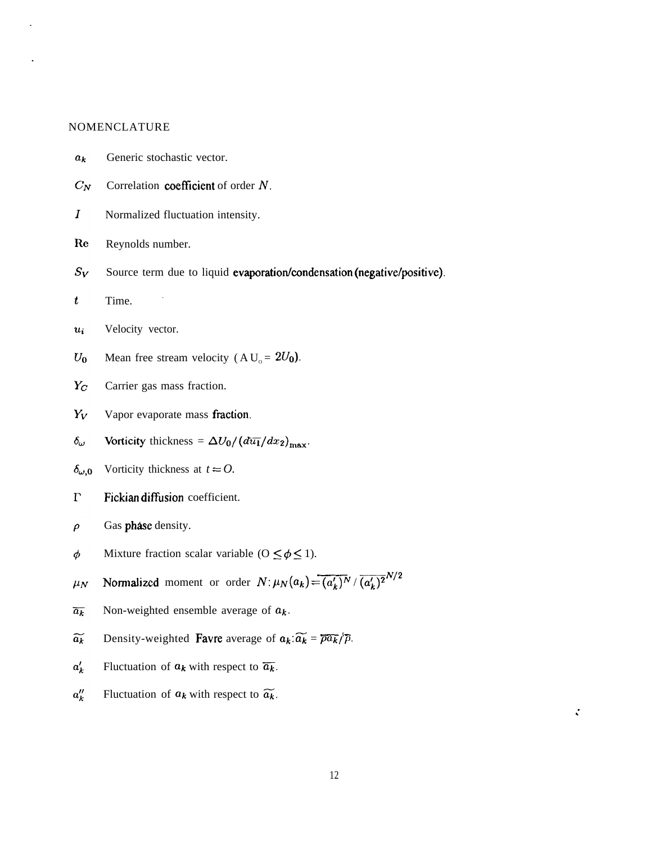## NOMENCLATURE

- $a_k$ Generic stochastic vector.
- $C_N$ Correlation coefficient of order  $N$ .
- $\boldsymbol{I}$ Normalized fluctuation intensity.
- Re Reynolds number.
- Source term due to liquid evaporation/condensation (negative/positive).  $S_V$
- $\boldsymbol{t}$ Time.
- Velocity vector.  $u_i$
- $U_0$ Mean free stream velocity (A $U_0 = 2U_0$ ).
- $Y_C$ Carrier gas mass fraction.
- $Y_V$ Vapor evaporate mass fraction.
- Vorticity thickness =  $\Delta U_0 / (d\overline{u_1}/dx_2)_{\text{max}}$ .  $\delta_{\omega}$
- Vorticity thickness at  $t = 0$ .  $\delta_{\omega,0}$
- $\Gamma$ Fickian diffusion coefficient.
- $\rho$ Gas phase density.
- Mixture fraction scalar variable ( $0 \le \phi \le 1$ ).  $\phi$
- Gas phase density.<br>
Mixture fraction scalar variable ( $0 \le \phi \le 1$ ).<br>
Normalized moment or order  $N: \mu_N(a_k) = \overline{(a'_k)^N} / \overline{(a'_k)^2}^{N/2}$  $\mu_N$
- Non-weighted ensemble average of  $a_k$ .  $\overline{a_k}$
- Density-weighted Favre average of  $a_k: \widetilde{a_k} = \overline{\rho a_k}/\overline{\rho}$ .  $\widetilde{a_k}$
- $a_k'$ Fluctuation of  $a_k$  with respect to  $\overline{a_k}$ .
- $a_k''$ Fluctuation of  $a_k$  with respect to  $\widetilde{a_k}$ .

,'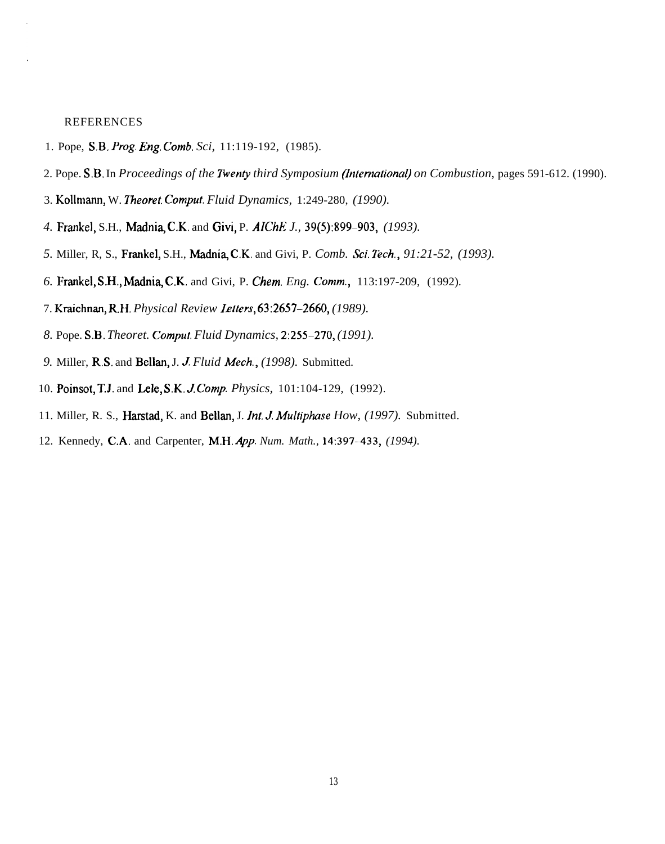## **REFERENCES**

- 1. Pope, S.B. *Ping. Eng. Comb. Sci,* 11:119-192, (1985).
- 2. Pope. S.B. In *Proceedings of the Twenty third Symposium (International) on Combustion*, pages 591-612. (1990).
- 3. Kollmann, W. *Theoret. Comput. Fluid Dynamics, 1:249-280, (1990).*
- 4. Frankel, S.H., Madnia, C.K. and Givi, P. *AIChE J.*, 39(5):899-903, (1993).
- 5. Miller, R, S., Frankel, S.H., Madnia, C.K. and Givi, P. *Comb. Sci. Tech.*, 91:21-52, (1993).
- *6.* Frankel, S.H,, Madni~ C.K. and Givi, P. *Chem. Eng. Comm.,* 113:197-209, (1992).
- 7. Kraichnan, R.H. Physical Review **Letters**, **63:2657-2660**, (1989).
- *8.* Pope. S.B. *Theoret. Comput. Fluid Dynamics, 2:255-270, (1991).*
- *9.* Miller, R.S. and Bellan, J. J *Fluid A4ech., (1998).* Submitted.
- 10. Poinsot, T.J. and Lele, S.K.J *Comp. Physics,* 101:104-129, (1992).
- 11. Miller, R. S., Harstad, K. and Bellan, J. *ht. J Multiphase How, (1997).* Submitted.
- 12. Kennedy, C.A. and Carpenter, M.H. App. Num. Math., 14:397-433, (1994).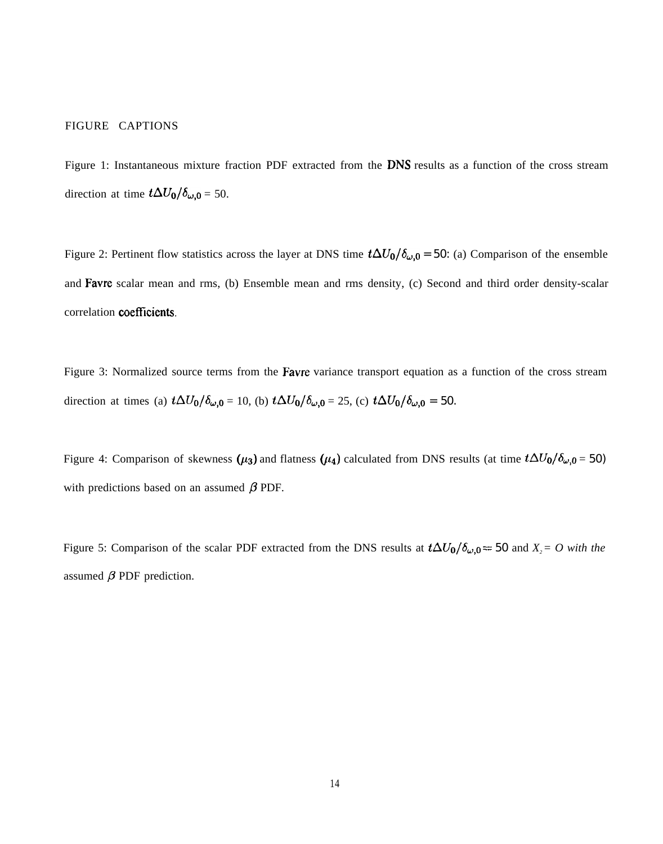## FIGURE CAPTIONS

Figure 1: Instantaneous mixture fraction PDF extracted from the DNS results as a function of the cross stream direction at time  $t\Delta U_0/\delta_{\omega,0} = 50$ .

Figure 2: Pertinent flow statistics across the layer at DNS time  $t\Delta U_0/\delta_{\omega,0} = 50$ : (a) Comparison of the ensemble and Favre scalar mean and rms, (b) Ensemble mean and rms density, (c) Second and third order density-scalar correlation coefficients.

Figure 3: Normalized source terms from the **Favre** variance transport equation as a function of the cross stream direction at times (a)  $t\Delta U_0/\delta_{\omega,0} = 10$ , (b)  $t\Delta U_0/\delta_{\omega,0} = 25$ , (c)  $t\Delta U_0/\delta_{\omega,0} = 50$ .

Figure 4: Comparison of skewness  $(\mu_3)$  and flatness  $(\mu_4)$  calculated from DNS results (at time  $t\Delta U_0/\delta_{\omega,0} = 50$ ) with predictions based on an assumed  $\beta$  PDF.

Figure 5: Comparison of the scalar PDF extracted from the DNS results at  $t\Delta U_0/\delta_{\omega,0} = 50$  and  $X_2 = O$  with the assumed  $\beta$  PDF prediction.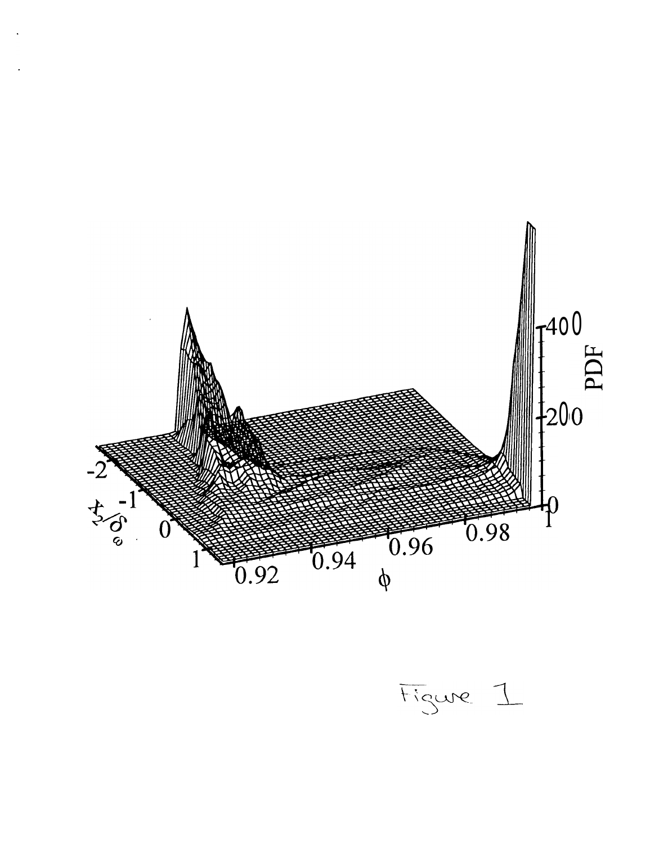

Figure 1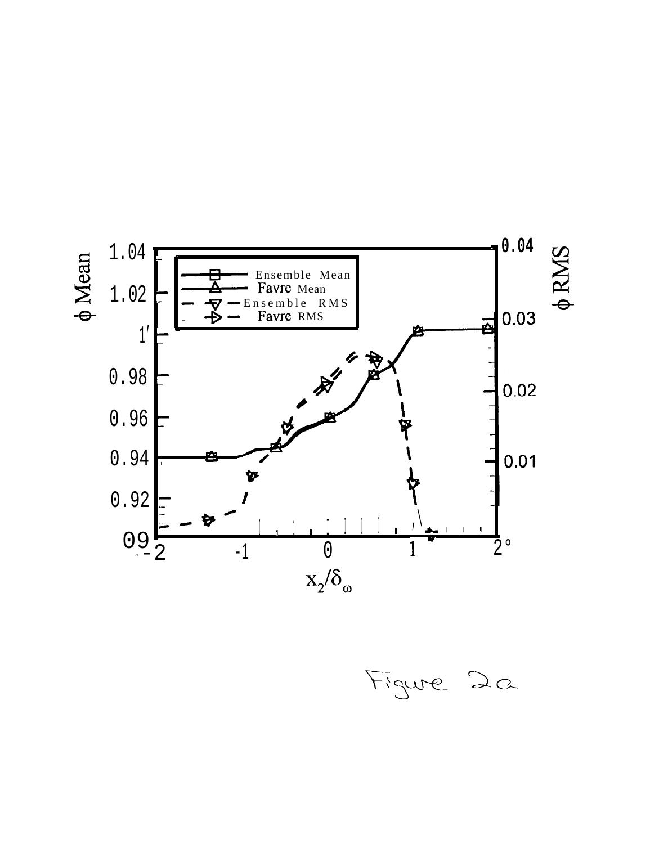

Figure 2a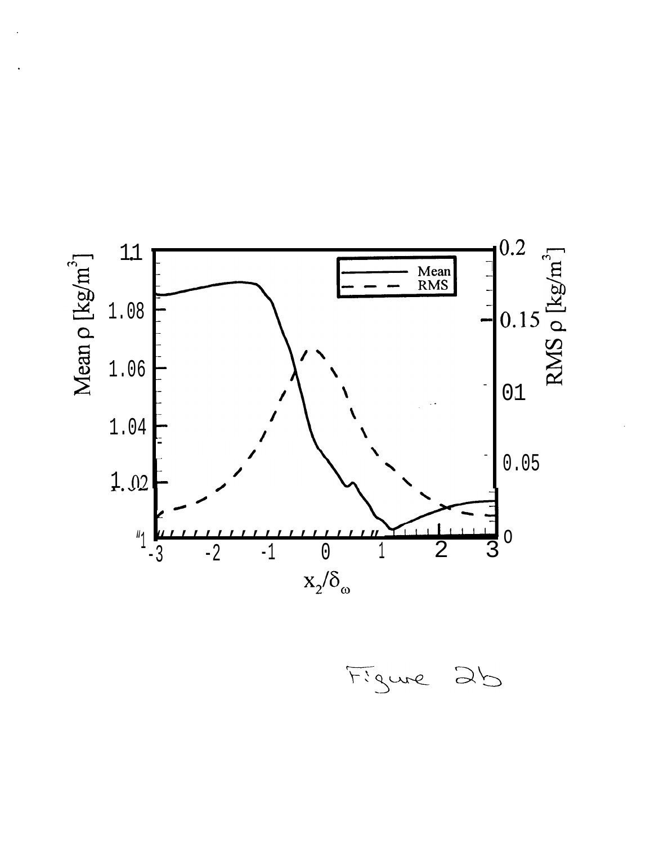

Figure 2b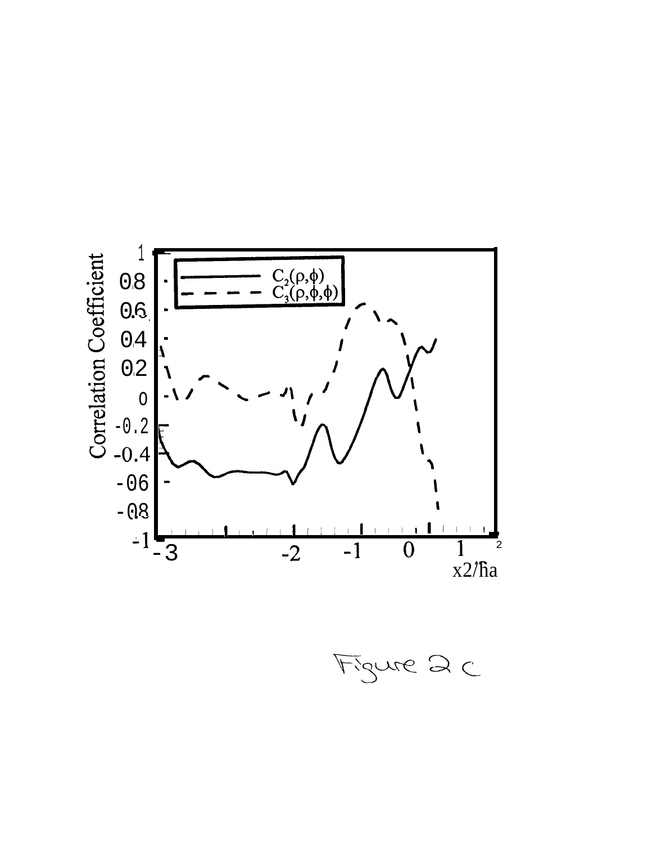

Figure 2 C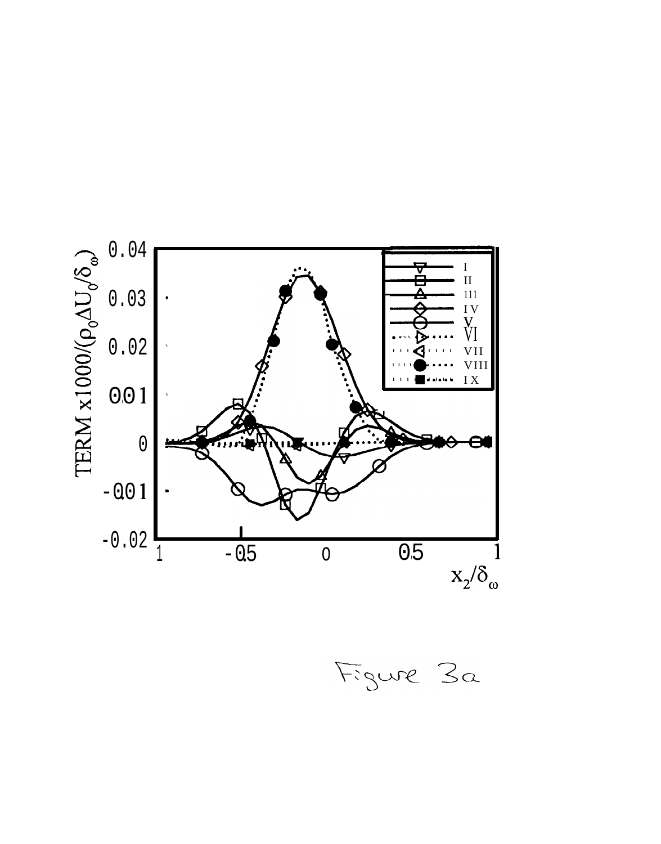

Figure 3a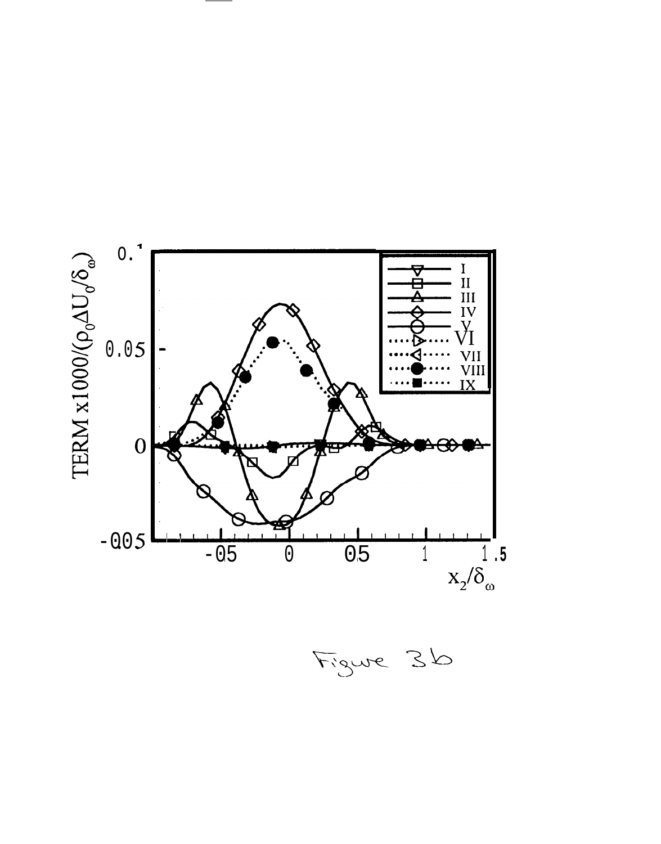

Figure 36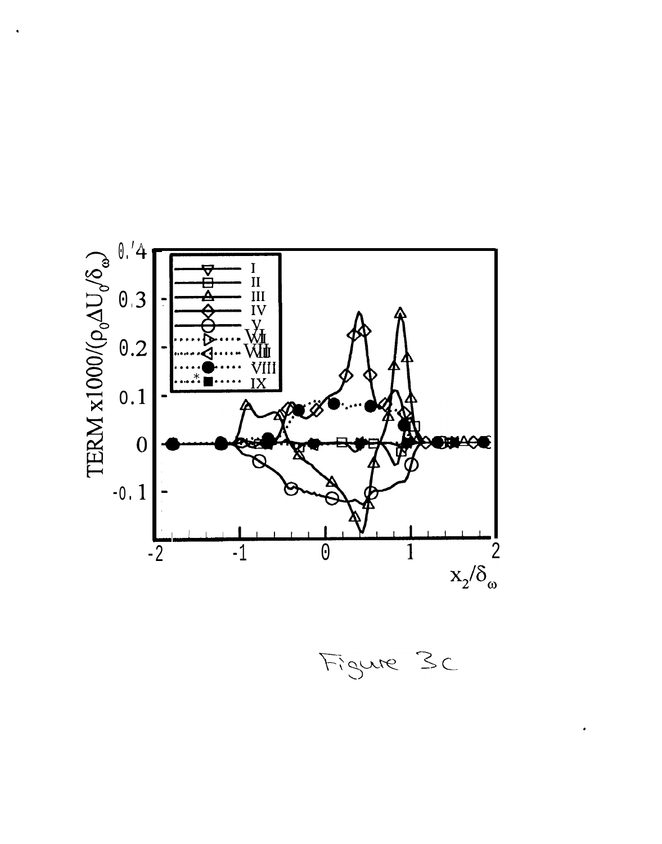

Figure 3c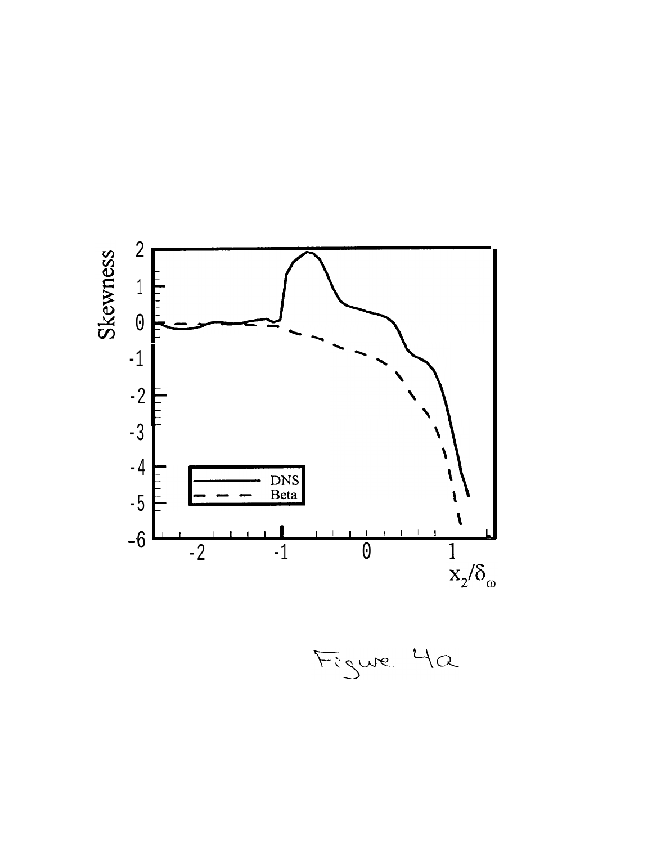

Figure 42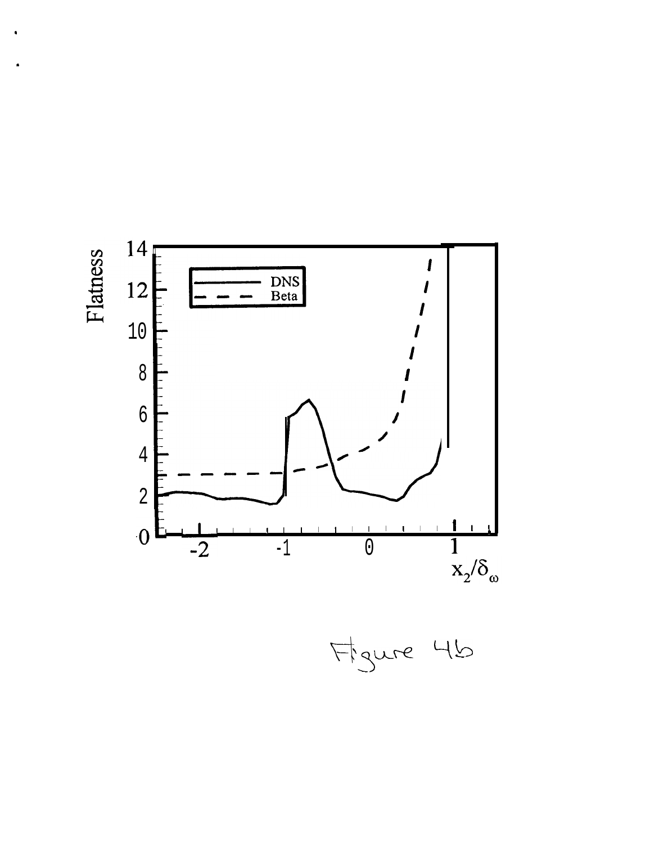

Figure 46